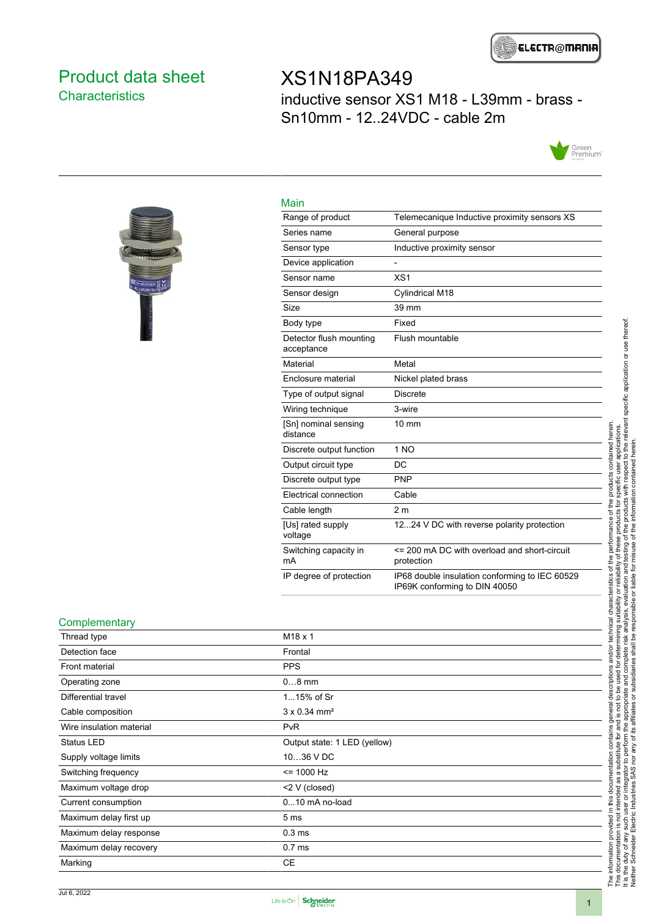

### <span id="page-0-0"></span>Product data sheet **Characteristics**

### XS1N18PA349 inductive sensor XS1 M18 - L39mm - brass - Sn10mm - 12..24VDC - cable 2m





| Main                                  |                                                                                 |
|---------------------------------------|---------------------------------------------------------------------------------|
| Range of product                      | Telemecanique Inductive proximity sensors XS                                    |
| Series name                           | General purpose                                                                 |
| Sensor type                           | Inductive proximity sensor                                                      |
| Device application                    |                                                                                 |
| Sensor name                           | XS <sub>1</sub>                                                                 |
| Sensor design                         | Cylindrical M18                                                                 |
| Size                                  | 39 mm                                                                           |
| Body type                             | Fixed                                                                           |
| Detector flush mounting<br>acceptance | Flush mountable                                                                 |
| Material                              | Metal                                                                           |
| Enclosure material                    | Nickel plated brass                                                             |
| Type of output signal                 | <b>Discrete</b>                                                                 |
| Wiring technique                      | 3-wire                                                                          |
| [Sn] nominal sensing<br>distance      | $10 \text{ mm}$                                                                 |
| Discrete output function              | 1 <sub>NO</sub>                                                                 |
| Output circuit type                   | DC                                                                              |
| Discrete output type                  | <b>PNP</b>                                                                      |
| Electrical connection                 | Cable                                                                           |
| Cable length                          | 2 <sub>m</sub>                                                                  |
| [Us] rated supply<br>voltage          | 1224 V DC with reverse polarity protection                                      |
| Switching capacity in<br>mA           | <= 200 mA DC with overload and short-circuit<br>protection                      |
| IP degree of protection               | IP68 double insulation conforming to IEC 60529<br>IP69K conforming to DIN 40050 |

#### **Complementary**

| Thread type              | $M18 \times 1$                  |
|--------------------------|---------------------------------|
| Detection face           | Frontal                         |
| Front material           | <b>PPS</b>                      |
| Operating zone           | $08$ mm                         |
| Differential travel      | 115% of Sr                      |
| Cable composition        | $3 \times 0.34$ mm <sup>2</sup> |
| Wire insulation material | <b>PvR</b>                      |
| Status LED               | Output state: 1 LED (yellow)    |
| Supply voltage limits    | 1036 V DC                       |
| Switching frequency      | $= 1000 Hz$                     |
| Maximum voltage drop     | <2 V (closed)                   |
| Current consumption      | $010$ mA no-load                |
| Maximum delay first up   | 5 <sub>ms</sub>                 |
| Maximum delay response   | 0.3 <sub>ms</sub>               |
| Maximum delay recovery   | 0.7 <sub>ms</sub>               |
| Marking                  | СE                              |
|                          |                                 |

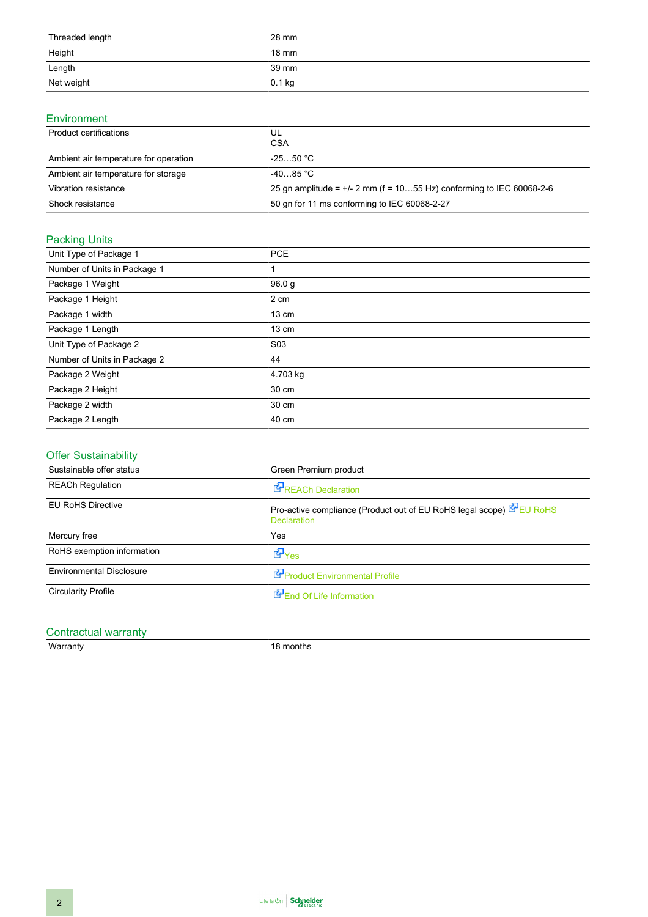| Threaded length                                                                                                                                                                                                                                                                                                                                                                                                                                                                      | 28 mm    |
|--------------------------------------------------------------------------------------------------------------------------------------------------------------------------------------------------------------------------------------------------------------------------------------------------------------------------------------------------------------------------------------------------------------------------------------------------------------------------------------|----------|
| Height<br>$\frac{1}{2} \left( \frac{1}{2} \right) \left( \frac{1}{2} \right) \left( \frac{1}{2} \right) \left( \frac{1}{2} \right) \left( \frac{1}{2} \right) \left( \frac{1}{2} \right) \left( \frac{1}{2} \right) \left( \frac{1}{2} \right) \left( \frac{1}{2} \right) \left( \frac{1}{2} \right) \left( \frac{1}{2} \right) \left( \frac{1}{2} \right) \left( \frac{1}{2} \right) \left( \frac{1}{2} \right) \left( \frac{1}{2} \right) \left( \frac{1}{2} \right) \left( \frac$ | 18 mm    |
| Length<br>the control of the control of the                                                                                                                                                                                                                                                                                                                                                                                                                                          | 39 mm    |
| Net weight                                                                                                                                                                                                                                                                                                                                                                                                                                                                           | $0.1$ kg |

#### Environment

| Product certifications                | UL<br><b>CSA</b>                                                       |
|---------------------------------------|------------------------------------------------------------------------|
| Ambient air temperature for operation | $-2550 °C$                                                             |
| Ambient air temperature for storage   | $-40.85\degree C$                                                      |
| Vibration resistance                  | 25 gn amplitude = $+/-$ 2 mm (f = 1055 Hz) conforming to IEC 60068-2-6 |
| Shock resistance                      | 50 gn for 11 ms conforming to IEC 60068-2-27                           |

### Packing Units

| Unit Type of Package 1       | <b>PCE</b>       |
|------------------------------|------------------|
| Number of Units in Package 1 |                  |
| Package 1 Weight             | 96.0 g           |
| Package 1 Height             | 2 cm             |
| Package 1 width              | $13 \text{ cm}$  |
| Package 1 Length             | 13 cm            |
| Unit Type of Package 2       | S <sub>0</sub> 3 |
| Number of Units in Package 2 | 44               |
| Package 2 Weight             | 4.703 kg         |
| Package 2 Height             | 30 cm            |
| Package 2 width              | 30 cm            |
| Package 2 Length             | 40 cm            |

### Offer Sustainability

| Sustainable offer status        | Green Premium product                                                                    |
|---------------------------------|------------------------------------------------------------------------------------------|
| <b>REACh Regulation</b>         | REACh Declaration                                                                        |
| <b>EU RoHS Directive</b>        | Pro-active compliance (Product out of EU RoHS legal scope) EU RoHS<br><b>Declaration</b> |
| Mercury free                    | Yes                                                                                      |
| RoHS exemption information      | dor <sub>Yes</sub>                                                                       |
| <b>Environmental Disclosure</b> | Product Environmental Profile                                                            |
| <b>Circularity Profile</b>      | End Of Life Information                                                                  |
|                                 |                                                                                          |

#### Contractual warranty Warranty 18 months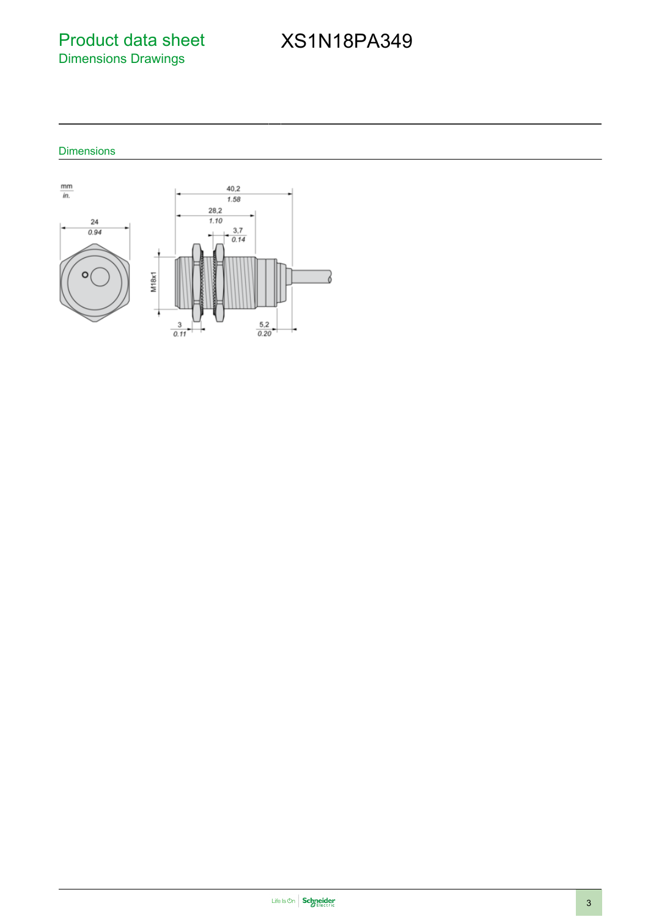Product data sheet Dimensions Drawings

# XS1N18PA349

Dimensions

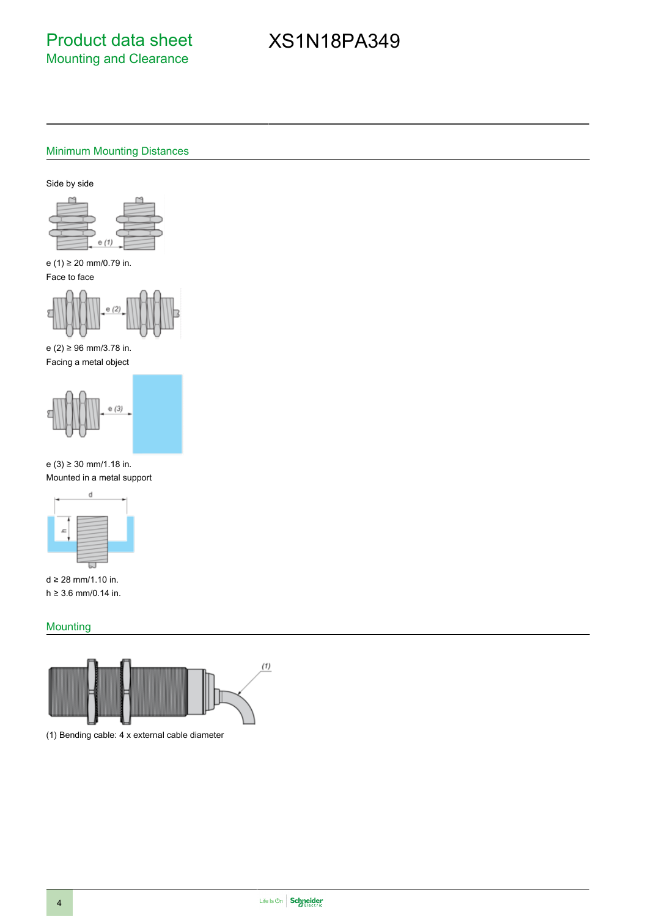## XS1N18PA349

#### Minimum Mounting Distances

Side by side



e (1) ≥ 20 mm/0.79 in. Face to face



e (2) ≥ 96 mm/3.78 in. Facing a metal object



e (3) ≥ 30 mm/1.18 in. Mounted in a metal support



d ≥ 28 mm/1.10 in. h ≥ 3.6 mm/0.14 in.

#### **Mounting**



(1) Bending cable: 4 x external cable diameter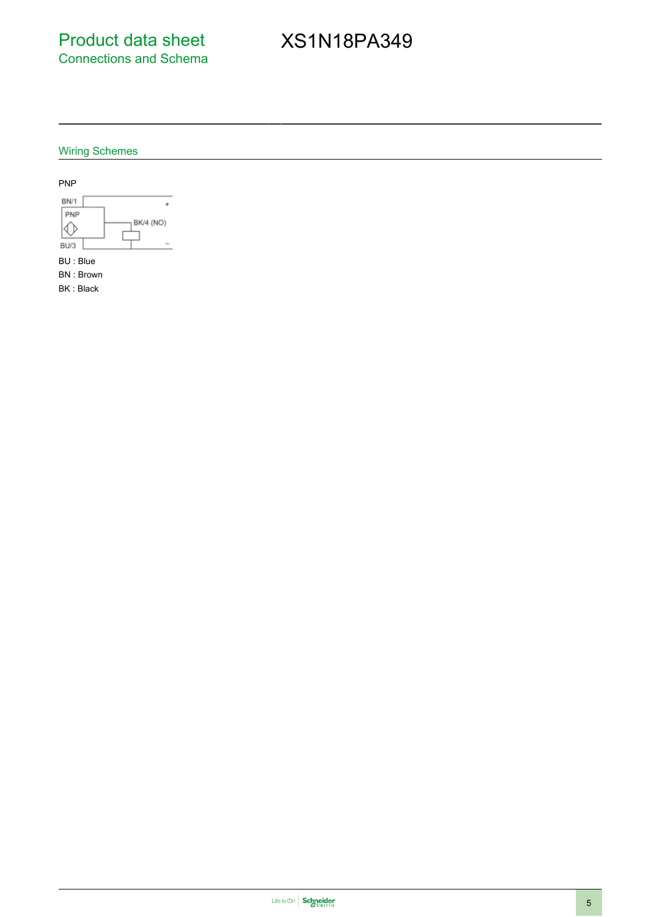Product data sheet Connections and Schema

# XS1N18PA349

### Wiring Schemes



BK : Black